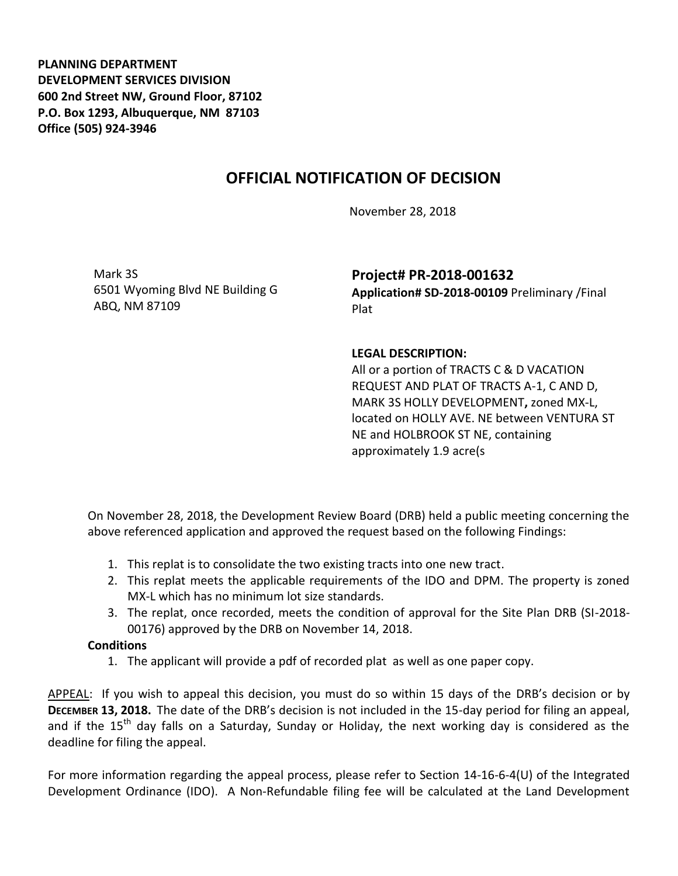**PLANNING DEPARTMENT DEVELOPMENT SERVICES DIVISION 600 2nd Street NW, Ground Floor, 87102 P.O. Box 1293, Albuquerque, NM 87103 Office (505) 924-3946** 

## **OFFICIAL NOTIFICATION OF DECISION**

November 28, 2018

Mark 3S 6501 Wyoming Blvd NE Building G ABQ, NM 87109

**Project# PR-2018-001632 Application# SD-2018-00109** Preliminary /Final Plat

## **LEGAL DESCRIPTION:**

All or a portion of TRACTS C & D VACATION REQUEST AND PLAT OF TRACTS A-1, C AND D, MARK 3S HOLLY DEVELOPMENT**,** zoned MX-L, located on HOLLY AVE. NE between VENTURA ST NE and HOLBROOK ST NE, containing approximately 1.9 acre(s

On November 28, 2018, the Development Review Board (DRB) held a public meeting concerning the above referenced application and approved the request based on the following Findings:

- 1. This replat is to consolidate the two existing tracts into one new tract.
- 2. This replat meets the applicable requirements of the IDO and DPM. The property is zoned MX-L which has no minimum lot size standards.
- 3. The replat, once recorded, meets the condition of approval for the Site Plan DRB (SI-2018- 00176) approved by the DRB on November 14, 2018.

## **Conditions**

1. The applicant will provide a pdf of recorded plat as well as one paper copy.

APPEAL: If you wish to appeal this decision, you must do so within 15 days of the DRB's decision or by **DECEMBER 13, 2018.** The date of the DRB's decision is not included in the 15-day period for filing an appeal, and if the  $15<sup>th</sup>$  day falls on a Saturday, Sunday or Holiday, the next working day is considered as the deadline for filing the appeal.

For more information regarding the appeal process, please refer to Section 14-16-6-4(U) of the Integrated Development Ordinance (IDO). A Non-Refundable filing fee will be calculated at the Land Development